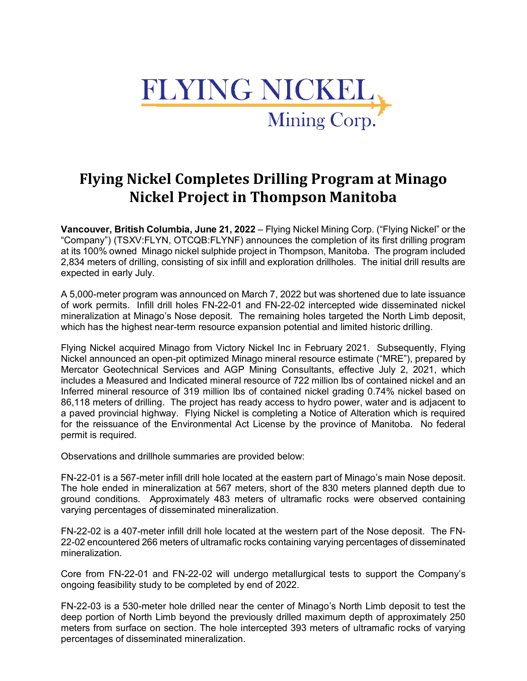

# **Flying Nickel Completes Drilling Program at Minago Nickel Project in Thompson Manitoba**

**Vancouver, British Columbia, June 21, 2022** – Flying Nickel Mining Corp. ("Flying Nickel" or the "Company") (TSXV:FLYN, OTCQB:FLYNF) announces the completion of its first drilling program at its 100% owned Minago nickel sulphide project in Thompson, Manitoba. The program included 2,834 meters of drilling, consisting of six infill and exploration drillholes. The initial drill results are expected in early July.

A 5,000-meter program was announced on March 7, 2022 but was shortened due to late issuance of work permits. Infill drill holes FN-22-01 and FN-22-02 intercepted wide disseminated nickel mineralization at Minago's Nose deposit. The remaining holes targeted the North Limb deposit, which has the highest near-term resource expansion potential and limited historic drilling.

Flying Nickel acquired Minago from Victory Nickel Inc in February 2021. Subsequently, Flying Nickel announced an open-pit optimized Minago mineral resource estimate ("MRE"), prepared by Mercator Geotechnical Services and AGP Mining Consultants, effective July 2, 2021, which includes a Measured and Indicated mineral resource of 722 million lbs of contained nickel and an Inferred mineral resource of 319 million lbs of contained nickel grading 0.74% nickel based on 86,118 meters of drilling. The project has ready access to hydro power, water and is adjacent to a paved provincial highway. Flying Nickel is completing a Notice of Alteration which is required for the reissuance of the Environmental Act License by the province of Manitoba. No federal permit is required.

Observations and drillhole summaries are provided below:

FN-22-01 is a 567-meter infill drill hole located at the eastern part of Minago's main Nose deposit. The hole ended in mineralization at 567 meters, short of the 830 meters planned depth due to ground conditions. Approximately 483 meters of ultramafic rocks were observed containing varying percentages of disseminated mineralization.

FN-22-02 is a 407-meter infill drill hole located at the western part of the Nose deposit. The FN-22-02 encountered 266 meters of ultramafic rocks containing varying percentages of disseminated mineralization.

Core from FN-22-01 and FN-22-02 will undergo metallurgical tests to support the Company's ongoing feasibility study to be completed by end of 2022.

FN-22-03 is a 530-meter hole drilled near the center of Minago's North Limb deposit to test the deep portion of North Limb beyond the previously drilled maximum depth of approximately 250 meters from surface on section. The hole intercepted 393 meters of ultramafic rocks of varying percentages of disseminated mineralization.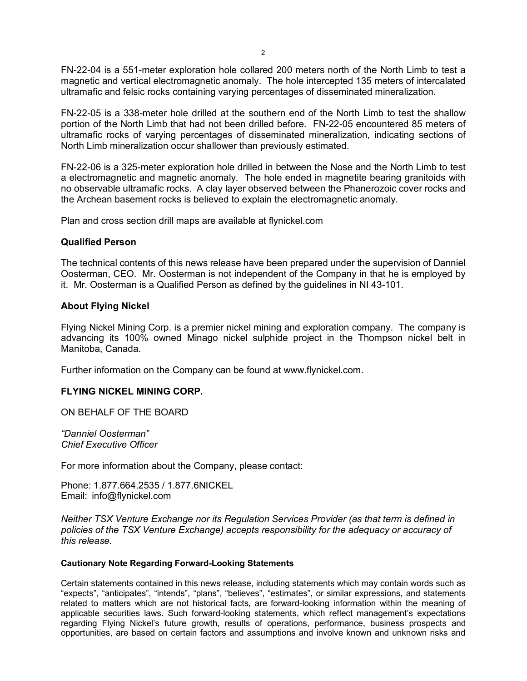FN-22-04 is a 551-meter exploration hole collared 200 meters north of the North Limb to test a magnetic and vertical electromagnetic anomaly. The hole intercepted 135 meters of intercalated ultramafic and felsic rocks containing varying percentages of disseminated mineralization.

FN-22-05 is a 338-meter hole drilled at the southern end of the North Limb to test the shallow portion of the North Limb that had not been drilled before. FN-22-05 encountered 85 meters of ultramafic rocks of varying percentages of disseminated mineralization, indicating sections of North Limb mineralization occur shallower than previously estimated.

FN-22-06 is a 325-meter exploration hole drilled in between the Nose and the North Limb to test a electromagnetic and magnetic anomaly. The hole ended in magnetite bearing granitoids with no observable ultramafic rocks. A clay layer observed between the Phanerozoic cover rocks and the Archean basement rocks is believed to explain the electromagnetic anomaly.

Plan and cross section drill maps are available at flynickel.com

### **Qualified Person**

The technical contents of this news release have been prepared under the supervision of Danniel Oosterman, CEO. Mr. Oosterman is not independent of the Company in that he is employed by it. Mr. Oosterman is a Qualified Person as defined by the guidelines in NI 43-101.

#### **About Flying Nickel**

Flying Nickel Mining Corp. is a premier nickel mining and exploration company. The company is advancing its 100% owned Minago nickel sulphide project in the Thompson nickel belt in Manitoba, Canada.

Further information on the Company can be found at www.flynickel.com.

## **FLYING NICKEL MINING CORP.**

ON BEHALF OF THE BOARD

*"Danniel Oosterman" Chief Executive Officer*

For more information about the Company, please contact:

Phone: 1.877.664.2535 / 1.877.6NICKEL Email: info@flynickel.com

*Neither TSX Venture Exchange nor its Regulation Services Provider (as that term is defined in policies of the TSX Venture Exchange) accepts responsibility for the adequacy or accuracy of this release.*

#### **Cautionary Note Regarding Forward-Looking Statements**

Certain statements contained in this news release, including statements which may contain words such as "expects", "anticipates", "intends", "plans", "believes", "estimates", or similar expressions, and statements related to matters which are not historical facts, are forward-looking information within the meaning of applicable securities laws. Such forward-looking statements, which reflect management's expectations regarding Flying Nickel's future growth, results of operations, performance, business prospects and opportunities, are based on certain factors and assumptions and involve known and unknown risks and